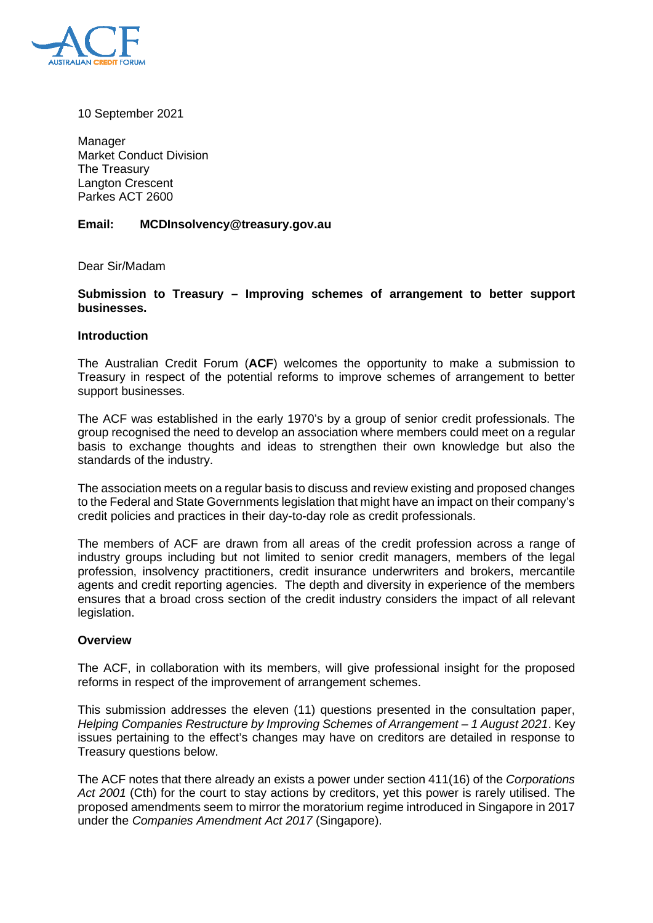

10 September 2021

Manager Market Conduct Division The Treasury Langton Crescent Parkes ACT 2600

## **Email: MCDInsolvency@treasury.gov.au**

Dear Sir/Madam

### **Submission to Treasury – Improving schemes of arrangement to better support businesses.**

#### **Introduction**

The Australian Credit Forum (**ACF**) welcomes the opportunity to make a submission to Treasury in respect of the potential reforms to improve schemes of arrangement to better support businesses.

The ACF was established in the early 1970's by a group of senior credit professionals. The group recognised the need to develop an association where members could meet on a regular basis to exchange thoughts and ideas to strengthen their own knowledge but also the standards of the industry.

The association meets on a regular basis to discuss and review existing and proposed changes to the Federal and State Governments legislation that might have an impact on their company's credit policies and practices in their day-to-day role as credit professionals.

The members of ACF are drawn from all areas of the credit profession across a range of industry groups including but not limited to senior credit managers, members of the legal profession, insolvency practitioners, credit insurance underwriters and brokers, mercantile agents and credit reporting agencies. The depth and diversity in experience of the members ensures that a broad cross section of the credit industry considers the impact of all relevant legislation.

#### **Overview**

The ACF, in collaboration with its members, will give professional insight for the proposed reforms in respect of the improvement of arrangement schemes.

This submission addresses the eleven (11) questions presented in the consultation paper, *Helping Companies Restructure by Improving Schemes of Arrangement – 1 August 2021*. Key issues pertaining to the effect's changes may have on creditors are detailed in response to Treasury questions below.

The ACF notes that there already an exists a power under section 411(16) of the *Corporations Act 2001* (Cth) for the court to stay actions by creditors, yet this power is rarely utilised. The proposed amendments seem to mirror the moratorium regime introduced in Singapore in 2017 under the *Companies Amendment Act 2017* (Singapore).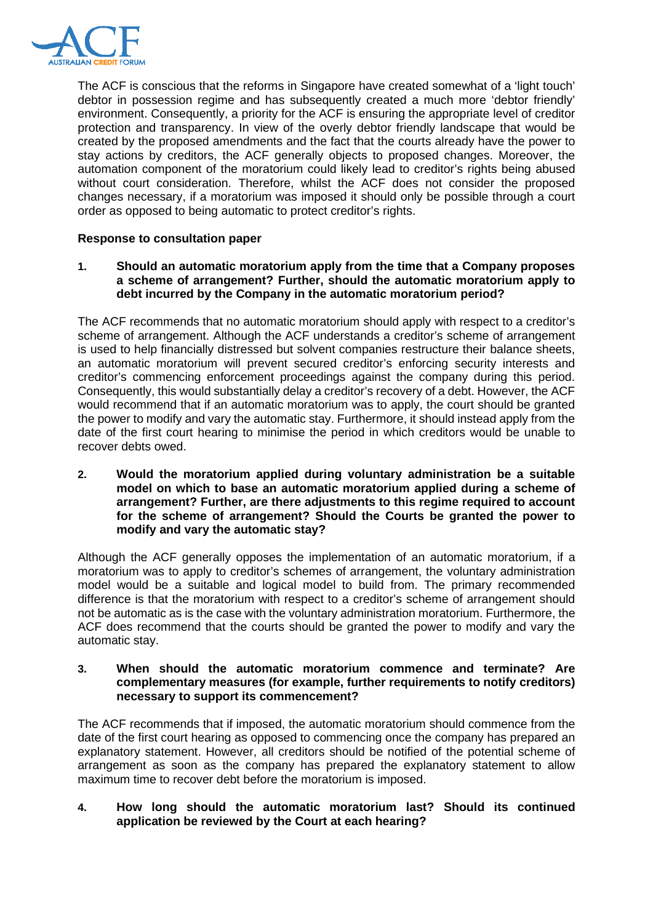

The ACF is conscious that the reforms in Singapore have created somewhat of a 'light touch' debtor in possession regime and has subsequently created a much more 'debtor friendly' environment. Consequently, a priority for the ACF is ensuring the appropriate level of creditor protection and transparency. In view of the overly debtor friendly landscape that would be created by the proposed amendments and the fact that the courts already have the power to stay actions by creditors, the ACF generally objects to proposed changes. Moreover, the automation component of the moratorium could likely lead to creditor's rights being abused without court consideration. Therefore, whilst the ACF does not consider the proposed changes necessary, if a moratorium was imposed it should only be possible through a court order as opposed to being automatic to protect creditor's rights.

## **Response to consultation paper**

## **1. Should an automatic moratorium apply from the time that a Company proposes a scheme of arrangement? Further, should the automatic moratorium apply to debt incurred by the Company in the automatic moratorium period?**

The ACF recommends that no automatic moratorium should apply with respect to a creditor's scheme of arrangement. Although the ACF understands a creditor's scheme of arrangement is used to help financially distressed but solvent companies restructure their balance sheets, an automatic moratorium will prevent secured creditor's enforcing security interests and creditor's commencing enforcement proceedings against the company during this period. Consequently, this would substantially delay a creditor's recovery of a debt. However, the ACF would recommend that if an automatic moratorium was to apply, the court should be granted the power to modify and vary the automatic stay. Furthermore, it should instead apply from the date of the first court hearing to minimise the period in which creditors would be unable to recover debts owed.

**2. Would the moratorium applied during voluntary administration be a suitable model on which to base an automatic moratorium applied during a scheme of arrangement? Further, are there adjustments to this regime required to account for the scheme of arrangement? Should the Courts be granted the power to modify and vary the automatic stay?** 

Although the ACF generally opposes the implementation of an automatic moratorium, if a moratorium was to apply to creditor's schemes of arrangement, the voluntary administration model would be a suitable and logical model to build from. The primary recommended difference is that the moratorium with respect to a creditor's scheme of arrangement should not be automatic as is the case with the voluntary administration moratorium. Furthermore, the ACF does recommend that the courts should be granted the power to modify and vary the automatic stay.

### **3. When should the automatic moratorium commence and terminate? Are complementary measures (for example, further requirements to notify creditors) necessary to support its commencement?**

The ACF recommends that if imposed, the automatic moratorium should commence from the date of the first court hearing as opposed to commencing once the company has prepared an explanatory statement. However, all creditors should be notified of the potential scheme of arrangement as soon as the company has prepared the explanatory statement to allow maximum time to recover debt before the moratorium is imposed.

# **4. How long should the automatic moratorium last? Should its continued application be reviewed by the Court at each hearing?**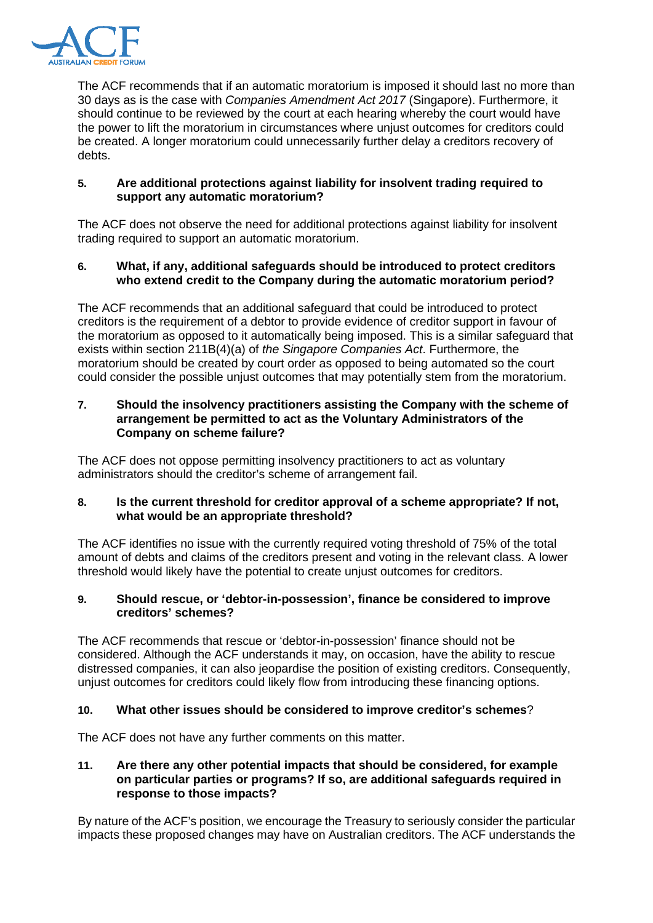

The ACF recommends that if an automatic moratorium is imposed it should last no more than 30 days as is the case with *Companies Amendment Act 2017* (Singapore). Furthermore, it should continue to be reviewed by the court at each hearing whereby the court would have the power to lift the moratorium in circumstances where unjust outcomes for creditors could be created. A longer moratorium could unnecessarily further delay a creditors recovery of debts.

# **5. Are additional protections against liability for insolvent trading required to support any automatic moratorium?**

The ACF does not observe the need for additional protections against liability for insolvent trading required to support an automatic moratorium.

# **6. What, if any, additional safeguards should be introduced to protect creditors who extend credit to the Company during the automatic moratorium period?**

The ACF recommends that an additional safeguard that could be introduced to protect creditors is the requirement of a debtor to provide evidence of creditor support in favour of the moratorium as opposed to it automatically being imposed. This is a similar safeguard that exists within section 211B(4)(a) of *the Singapore Companies Act*. Furthermore, the moratorium should be created by court order as opposed to being automated so the court could consider the possible unjust outcomes that may potentially stem from the moratorium.

## **7. Should the insolvency practitioners assisting the Company with the scheme of arrangement be permitted to act as the Voluntary Administrators of the Company on scheme failure?**

The ACF does not oppose permitting insolvency practitioners to act as voluntary administrators should the creditor's scheme of arrangement fail.

# **8. Is the current threshold for creditor approval of a scheme appropriate? If not, what would be an appropriate threshold?**

The ACF identifies no issue with the currently required voting threshold of 75% of the total amount of debts and claims of the creditors present and voting in the relevant class. A lower threshold would likely have the potential to create unjust outcomes for creditors.

## **9. Should rescue, or 'debtor-in-possession', finance be considered to improve creditors' schemes?**

The ACF recommends that rescue or 'debtor-in-possession' finance should not be considered. Although the ACF understands it may, on occasion, have the ability to rescue distressed companies, it can also jeopardise the position of existing creditors. Consequently, unjust outcomes for creditors could likely flow from introducing these financing options.

# **10. What other issues should be considered to improve creditor's schemes**?

The ACF does not have any further comments on this matter.

### **11. Are there any other potential impacts that should be considered, for example on particular parties or programs? If so, are additional safeguards required in response to those impacts?**

By nature of the ACF's position, we encourage the Treasury to seriously consider the particular impacts these proposed changes may have on Australian creditors. The ACF understands the